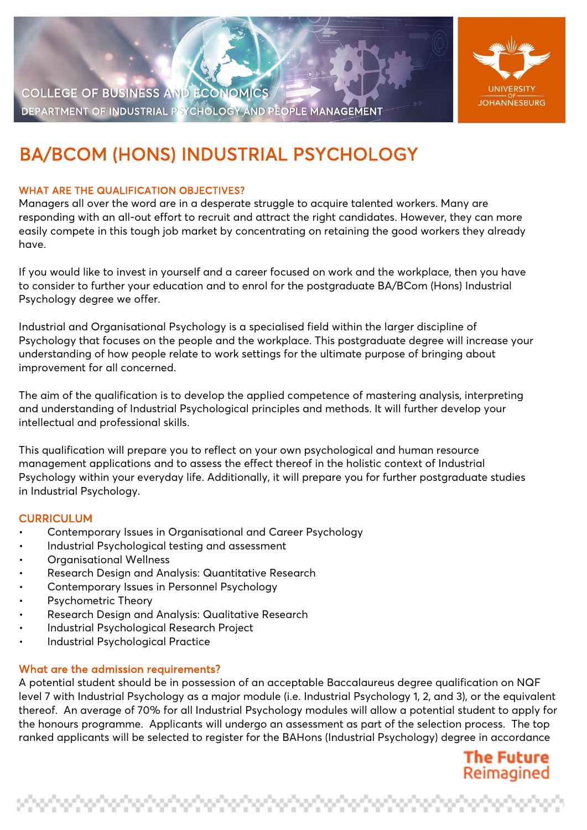

COLLEGE OF BUSINESS AND ECONOMICS DEPARTMENT OF INDUSTRIAL PSYCHOLOGY AND PEOPLE MANAGEMENT

# BA/BCOM (HONS) INDUSTRIAL PSYCHOLOGY

## WHAT ARE THE QUALIFICATION OBJECTIVES?

Managers all over the word are in a desperate struggle to acquire talented workers. Many are responding with an all-out effort to recruit and attract the right candidates. However, they can more easily compete in this tough job market by concentrating on retaining the good workers they already have.

If you would like to invest in yourself and a career focused on work and the workplace, then you have to consider to further your education and to enrol for the postgraduate BA/BCom (Hons) Industrial Psychology degree we offer.

Industrial and Organisational Psychology is a specialised field within the larger discipline of Psychology that focuses on the people and the workplace. This postgraduate degree will increase your understanding of how people relate to work settings for the ultimate purpose of bringing about improvement for all concerned.

The aim of the qualification is to develop the applied competence of mastering analysis, interpreting and understanding of Industrial Psychological principles and methods. It will further develop your intellectual and professional skills.

This qualification will prepare you to reflect on your own psychological and human resource management applications and to assess the effect thereof in the holistic context of Industrial Psychology within your everyday life. Additionally, it will prepare you for further postgraduate studies in Industrial Psychology.

# **CURRICULUM**

- Contemporary Issues in Organisational and Career Psychology
- Industrial Psychological testing and assessment
- Organisational Wellness
- Research Design and Analysis: Quantitative Research
- Contemporary Issues in Personnel Psychology
- Psychometric Theory
- Research Design and Analysis: Qualitative Research
- Industrial Psychological Research Project
- Industrial Psychological Practice

### What are the admission requirements?

A potential student should be in possession of an acceptable Baccalaureus degree qualification on NQF level 7 with Industrial Psychology as a major module (i.e. Industrial Psychology 1, 2, and 3), or the equivalent thereof. An average of 70% for all Industrial Psychology modules will allow a potential student to apply for the honours programme. Applicants will undergo an assessment as part of the selection process. The top ranked applicants will be selected to register for the BAHons (Industrial Psychology) degree in accordance